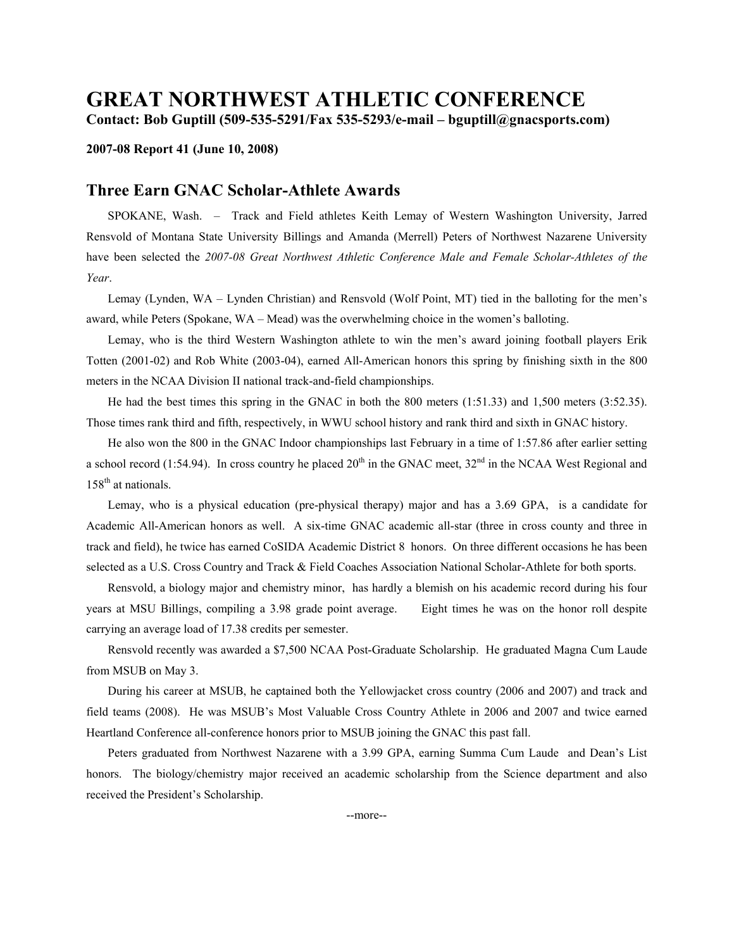## **GREAT NORTHWEST ATHLETIC CONFERENCE Contact: Bob Guptill (509-535-5291/Fax 535-5293/e-mail – bguptill@gnacsports.com)**

## **2007-08 Report 41 (June 10, 2008)**

## **Three Earn GNAC Scholar-Athlete Awards**

 SPOKANE, Wash. – Track and Field athletes Keith Lemay of Western Washington University, Jarred Rensvold of Montana State University Billings and Amanda (Merrell) Peters of Northwest Nazarene University have been selected the *2007-08 Great Northwest Athletic Conference Male and Female Scholar-Athletes of the Year*.

 Lemay (Lynden, WA – Lynden Christian) and Rensvold (Wolf Point, MT) tied in the balloting for the men's award, while Peters (Spokane, WA – Mead) was the overwhelming choice in the women's balloting.

 Lemay, who is the third Western Washington athlete to win the men's award joining football players Erik Totten (2001-02) and Rob White (2003-04), earned All-American honors this spring by finishing sixth in the 800 meters in the NCAA Division II national track-and-field championships.

 He had the best times this spring in the GNAC in both the 800 meters (1:51.33) and 1,500 meters (3:52.35). Those times rank third and fifth, respectively, in WWU school history and rank third and sixth in GNAC history.

 He also won the 800 in the GNAC Indoor championships last February in a time of 1:57.86 after earlier setting a school record (1:54.94). In cross country he placed  $20<sup>th</sup>$  in the GNAC meet,  $32<sup>nd</sup>$  in the NCAA West Regional and 158<sup>th</sup> at nationals.

 Lemay, who is a physical education (pre-physical therapy) major and has a 3.69 GPA, is a candidate for Academic All-American honors as well. A six-time GNAC academic all-star (three in cross county and three in track and field), he twice has earned CoSIDA Academic District 8 honors. On three different occasions he has been selected as a U.S. Cross Country and Track & Field Coaches Association National Scholar-Athlete for both sports.

 Rensvold, a biology major and chemistry minor, has hardly a blemish on his academic record during his four years at MSU Billings, compiling a 3.98 grade point average. Eight times he was on the honor roll despite carrying an average load of 17.38 credits per semester.

 Rensvold recently was awarded a \$7,500 NCAA Post-Graduate Scholarship. He graduated Magna Cum Laude from MSUB on May 3.

 During his career at MSUB, he captained both the Yellowjacket cross country (2006 and 2007) and track and field teams (2008). He was MSUB's Most Valuable Cross Country Athlete in 2006 and 2007 and twice earned Heartland Conference all-conference honors prior to MSUB joining the GNAC this past fall.

 Peters graduated from Northwest Nazarene with a 3.99 GPA, earning Summa Cum Laude and Dean's List honors. The biology/chemistry major received an academic scholarship from the Science department and also received the President's Scholarship.